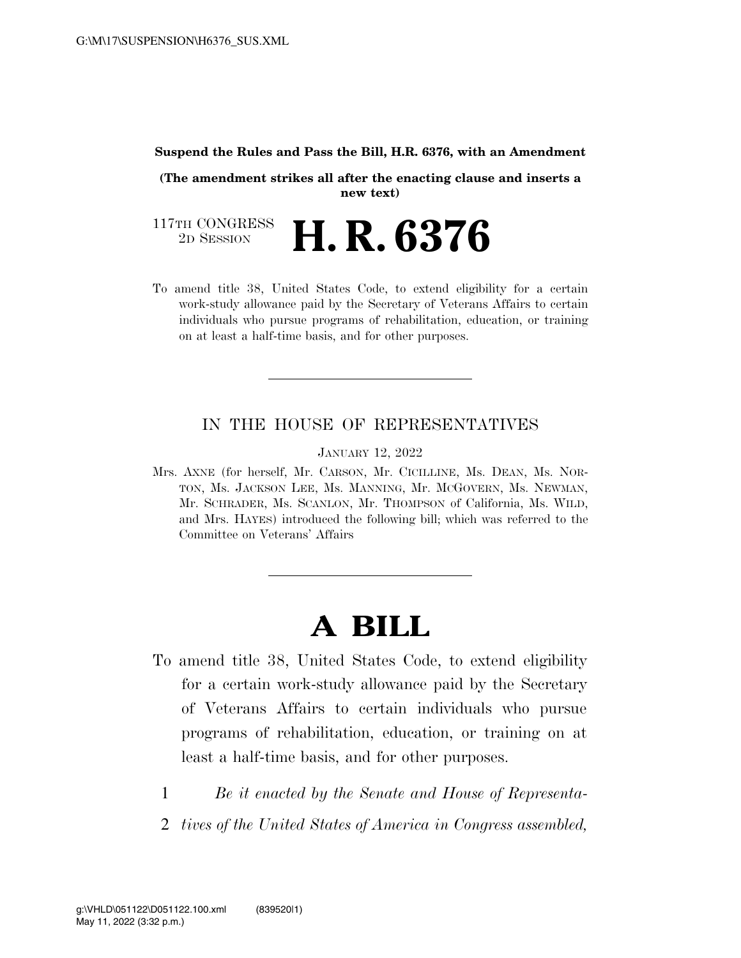#### **Suspend the Rules and Pass the Bill, H.R. 6376, with an Amendment**

**(The amendment strikes all after the enacting clause and inserts a new text)** 

117TH CONGRESS<br>2D SESSION 2D SESSION **H. R. 6376** 

To amend title 38, United States Code, to extend eligibility for a certain work-study allowance paid by the Secretary of Veterans Affairs to certain individuals who pursue programs of rehabilitation, education, or training on at least a half-time basis, and for other purposes.

#### IN THE HOUSE OF REPRESENTATIVES

JANUARY 12, 2022

Mrs. AXNE (for herself, Mr. CARSON, Mr. CICILLINE, Ms. DEAN, Ms. NOR-TON, Ms. JACKSON LEE, Ms. MANNING, Mr. MCGOVERN, Ms. NEWMAN, Mr. SCHRADER, Ms. SCANLON, Mr. THOMPSON of California, Ms. WILD, and Mrs. HAYES) introduced the following bill; which was referred to the Committee on Veterans' Affairs

# **A BILL**

- To amend title 38, United States Code, to extend eligibility for a certain work-study allowance paid by the Secretary of Veterans Affairs to certain individuals who pursue programs of rehabilitation, education, or training on at least a half-time basis, and for other purposes.
	- 1 *Be it enacted by the Senate and House of Representa-*
	- 2 *tives of the United States of America in Congress assembled,*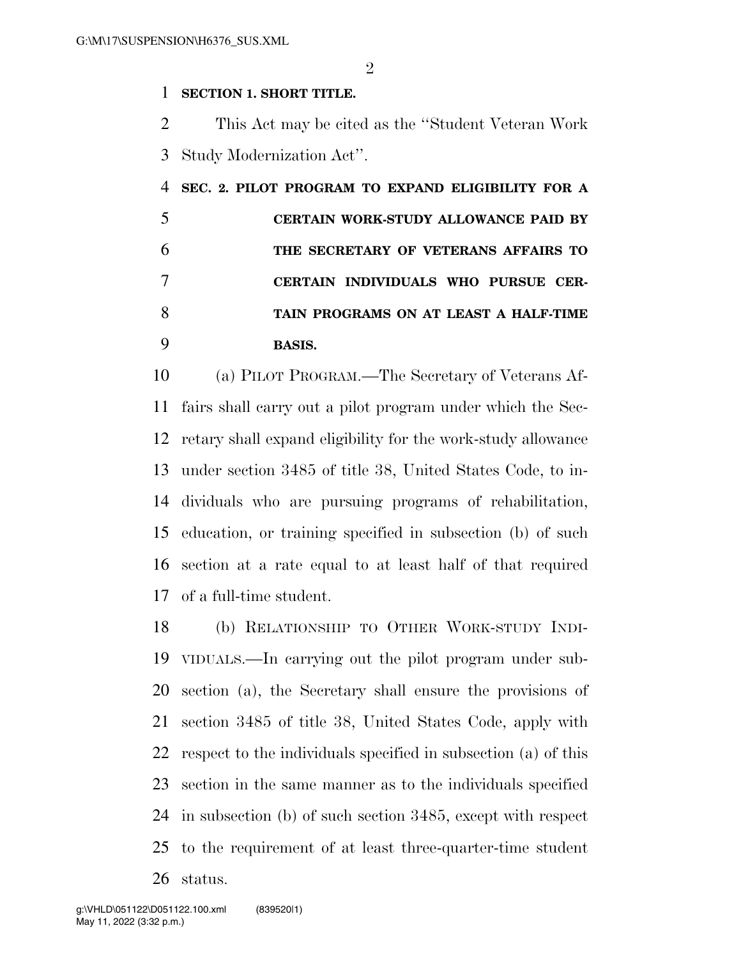### **SECTION 1. SHORT TITLE.**

 This Act may be cited as the ''Student Veteran Work Study Modernization Act''.

| SEC. 2. PILOT PROGRAM TO EXPAND ELIGIBILITY FOR A |
|---------------------------------------------------|
| CERTAIN WORK-STUDY ALLOWANCE PAID BY              |
| THE SECRETARY OF VETERANS AFFAIRS TO              |
| CERTAIN INDIVIDUALS WHO PURSUE CER-               |
| TAIN PROGRAMS ON AT LEAST A HALF-TIME             |
| <b>BASIS.</b>                                     |

 (a) PILOT PROGRAM.—The Secretary of Veterans Af- fairs shall carry out a pilot program under which the Sec- retary shall expand eligibility for the work-study allowance under section 3485 of title 38, United States Code, to in- dividuals who are pursuing programs of rehabilitation, education, or training specified in subsection (b) of such section at a rate equal to at least half of that required of a full-time student.

 (b) RELATIONSHIP TO OTHER WORK-STUDY INDI- VIDUALS.—In carrying out the pilot program under sub- section (a), the Secretary shall ensure the provisions of section 3485 of title 38, United States Code, apply with respect to the individuals specified in subsection (a) of this section in the same manner as to the individuals specified in subsection (b) of such section 3485, except with respect to the requirement of at least three-quarter-time student status.